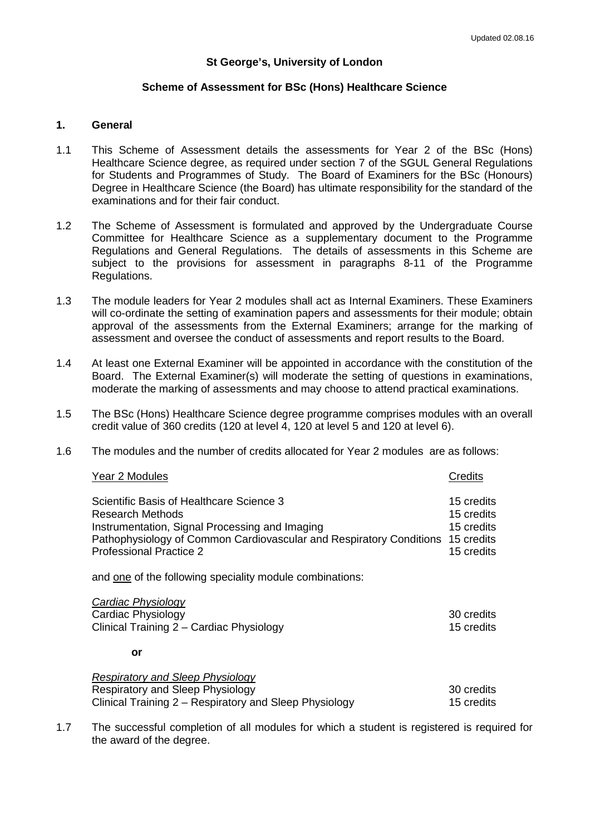# **St George's, University of London**

# **Scheme of Assessment for BSc (Hons) Healthcare Science**

# **1. General**

- 1.1 This Scheme of Assessment details the assessments for Year 2 of the BSc (Hons) Healthcare Science degree, as required under section 7 of the SGUL General Regulations for Students and Programmes of Study. The Board of Examiners for the BSc (Honours) Degree in Healthcare Science (the Board) has ultimate responsibility for the standard of the examinations and for their fair conduct.
- 1.2 The Scheme of Assessment is formulated and approved by the Undergraduate Course Committee for Healthcare Science as a supplementary document to the Programme Regulations and General Regulations. The details of assessments in this Scheme are subject to the provisions for assessment in paragraphs 8-11 of the Programme Regulations.
- 1.3 The module leaders for Year 2 modules shall act as Internal Examiners. These Examiners will co-ordinate the setting of examination papers and assessments for their module; obtain approval of the assessments from the External Examiners; arrange for the marking of assessment and oversee the conduct of assessments and report results to the Board.
- 1.4 At least one External Examiner will be appointed in accordance with the constitution of the Board. The External Examiner(s) will moderate the setting of questions in examinations, moderate the marking of assessments and may choose to attend practical examinations.
- 1.5 The BSc (Hons) Healthcare Science degree programme comprises modules with an overall credit value of 360 credits (120 at level  $\overline{4}$ , 120 at level 5 and 120 at level 6).
- 1.6 The modules and the number of credits allocated for Year 2 modules are as follows:

#### **Year 2 Modules** Credits

Scientific Basis of Healthcare Science 3 15 credits 15 credits Research Methods **15** credits **15** credits Instrumentation, Signal Processing and Imaging 15 credits 15 credits Pathophysiology of Common Cardiovascular and Respiratory Conditions 15 credits Professional Practice 2 15 credits 15 credits

and one of the following speciality module combinations:

| Cardiac Physiology                       |            |
|------------------------------------------|------------|
| Cardiac Physiology                       | 30 credits |
| Clinical Training 2 – Cardiac Physiology | 15 credits |

**or**

| <b>Respiratory and Sleep Physiology</b>                |            |
|--------------------------------------------------------|------------|
| Respiratory and Sleep Physiology                       | 30 credits |
| Clinical Training 2 – Respiratory and Sleep Physiology | 15 credits |

1.7 The successful completion of all modules for which a student is registered is required for the award of the degree.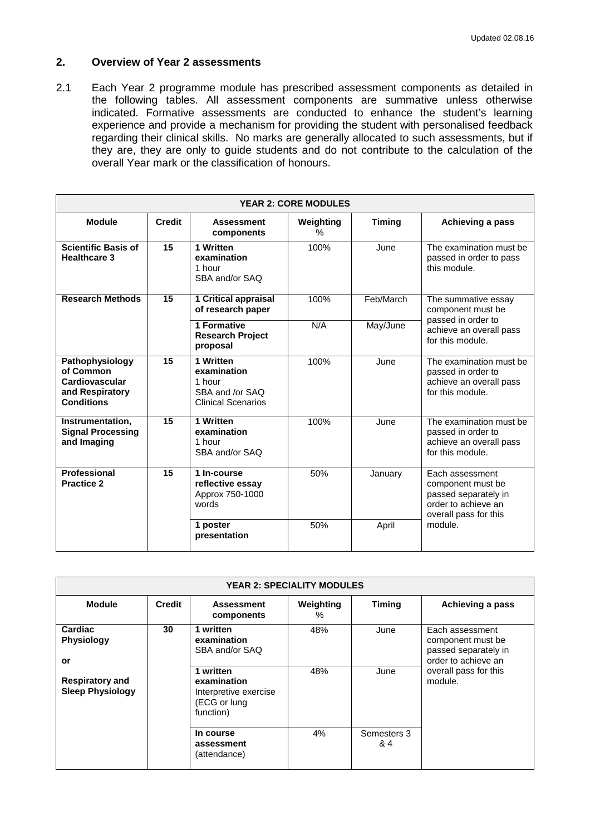# **2. Overview of Year 2 assessments**

2.1 Each Year 2 programme module has prescribed assessment components as detailed in the following tables. All assessment components are summative unless otherwise indicated. Formative assessments are conducted to enhance the student's learning experience and provide a mechanism for providing the student with personalised feedback regarding their clinical skills. No marks are generally allocated to such assessments, but if they are, they are only to guide students and do not contribute to the calculation of the overall Year mark or the classification of honours.

| <b>YEAR 2: CORE MODULES</b>                                                            |        |                                                                                    |                   |               |                                                                                                               |  |  |
|----------------------------------------------------------------------------------------|--------|------------------------------------------------------------------------------------|-------------------|---------------|---------------------------------------------------------------------------------------------------------------|--|--|
| <b>Module</b>                                                                          | Credit | <b>Assessment</b><br>components                                                    | Weighting<br>$\%$ | <b>Timing</b> | Achieving a pass                                                                                              |  |  |
| <b>Scientific Basis of</b><br><b>Healthcare 3</b>                                      | 15     | 1 Written<br>examination<br>1 hour<br>SBA and/or SAQ                               | 100%              | June          | The examination must be<br>passed in order to pass<br>this module.                                            |  |  |
| <b>Research Methods</b>                                                                | 15     | 1 Critical appraisal<br>of research paper                                          | 100%              | Feb/March     | The summative essay<br>component must be<br>passed in order to<br>achieve an overall pass<br>for this module. |  |  |
|                                                                                        |        | 1 Formative<br><b>Research Project</b><br>proposal                                 | N/A               | May/June      |                                                                                                               |  |  |
| Pathophysiology<br>of Common<br>Cardiovascular<br>and Respiratory<br><b>Conditions</b> | 15     | 1 Written<br>examination<br>1 hour<br>SBA and /or SAQ<br><b>Clinical Scenarios</b> | 100%              | June          | The examination must be<br>passed in order to<br>achieve an overall pass<br>for this module.                  |  |  |
| Instrumentation,<br><b>Signal Processing</b><br>and Imaging                            | 15     | 1 Written<br>examination<br>1 hour<br>SBA and/or SAQ                               | 100%              | June          | The examination must be<br>passed in order to<br>achieve an overall pass<br>for this module.                  |  |  |
| <b>Professional</b><br><b>Practice 2</b>                                               | 15     | 1 In-course<br>reflective essay<br>Approx 750-1000<br>words                        | 50%               | January       | Each assessment<br>component must be<br>passed separately in<br>order to achieve an<br>overall pass for this  |  |  |
|                                                                                        |        | 1 poster<br>presentation                                                           | 50%               | April         | module.                                                                                                       |  |  |

| <b>YEAR 2: SPECIALITY MODULES</b>                 |    |                                                                                |                |                    |                                                                                     |  |  |
|---------------------------------------------------|----|--------------------------------------------------------------------------------|----------------|--------------------|-------------------------------------------------------------------------------------|--|--|
| <b>Module</b><br><b>Credit</b>                    |    | <b>Assessment</b><br>components                                                | Weighting<br>℅ | <b>Timing</b>      | Achieving a pass                                                                    |  |  |
| Cardiac<br><b>Physiology</b><br>or                | 30 | 1 written<br>examination<br>SBA and/or SAQ                                     | 48%            | June               | Each assessment<br>component must be<br>passed separately in<br>order to achieve an |  |  |
| <b>Respiratory and</b><br><b>Sleep Physiology</b> |    | 1 written<br>examination<br>Interpretive exercise<br>(ECG or lung<br>function) | 48%            | June               | overall pass for this<br>module.                                                    |  |  |
|                                                   |    | In course<br>assessment<br>(attendance)                                        | 4%             | Semesters 3<br>& 4 |                                                                                     |  |  |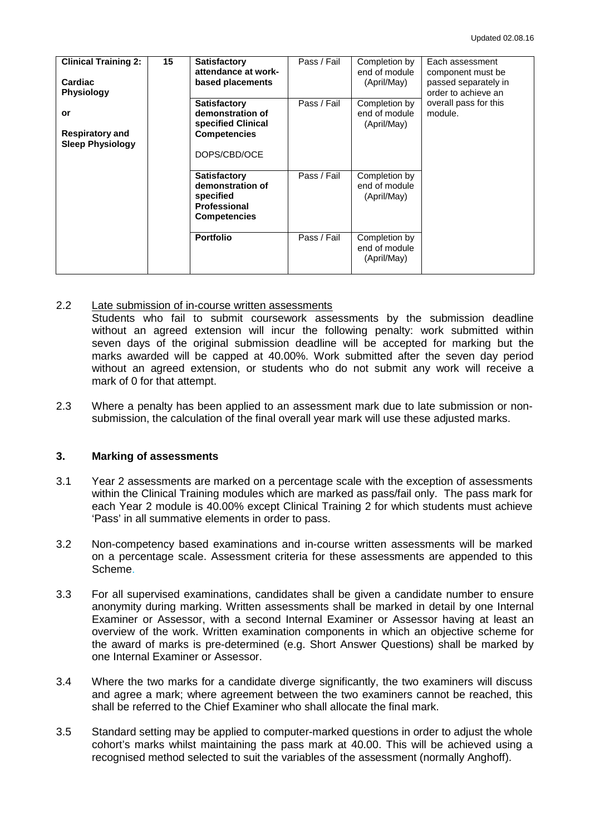| <b>Clinical Training 2:</b><br>Cardiac<br><b>Physiology</b> | 15 | <b>Satisfactory</b><br>attendance at work-<br>based placements                                       | Pass / Fail | Completion by<br>end of module<br>(April/May) | Each assessment<br>component must be<br>passed separately in<br>order to achieve an |
|-------------------------------------------------------------|----|------------------------------------------------------------------------------------------------------|-------------|-----------------------------------------------|-------------------------------------------------------------------------------------|
| or<br><b>Respiratory and</b><br><b>Sleep Physiology</b>     |    | <b>Satisfactory</b><br>demonstration of<br>specified Clinical<br><b>Competencies</b><br>DOPS/CBD/OCE | Pass / Fail | Completion by<br>end of module<br>(April/May) | overall pass for this<br>module.                                                    |
|                                                             |    | <b>Satisfactory</b><br>demonstration of<br>specified<br><b>Professional</b><br><b>Competencies</b>   | Pass / Fail | Completion by<br>end of module<br>(April/May) |                                                                                     |
|                                                             |    | <b>Portfolio</b>                                                                                     | Pass / Fail | Completion by<br>end of module<br>(April/May) |                                                                                     |

#### 2.2 Late submission of in-course written assessments

Students who fail to submit coursework assessments by the submission deadline without an agreed extension will incur the following penalty: work submitted within seven days of the original submission deadline will be accepted for marking but the marks awarded will be capped at 40.00%. Work submitted after the seven day period without an agreed extension, or students who do not submit any work will receive a mark of 0 for that attempt.

2.3 Where a penalty has been applied to an assessment mark due to late submission or nonsubmission, the calculation of the final overall year mark will use these adjusted marks.

# **3. Marking of assessments**

- 3.1 Year 2 assessments are marked on a percentage scale with the exception of assessments within the Clinical Training modules which are marked as pass/fail only. The pass mark for each Year 2 module is 40.00% except Clinical Training 2 for which students must achieve 'Pass' in all summative elements in order to pass.
- 3.2 Non-competency based examinations and in-course written assessments will be marked on a percentage scale. Assessment criteria for these assessments are appended to this Scheme.
- 3.3 For all supervised examinations, candidates shall be given a candidate number to ensure anonymity during marking. Written assessments shall be marked in detail by one Internal Examiner or Assessor, with a second Internal Examiner or Assessor having at least an overview of the work. Written examination components in which an objective scheme for the award of marks is pre-determined (e.g. Short Answer Questions) shall be marked by one Internal Examiner or Assessor.
- 3.4 Where the two marks for a candidate diverge significantly, the two examiners will discuss and agree a mark; where agreement between the two examiners cannot be reached, this shall be referred to the Chief Examiner who shall allocate the final mark.
- 3.5 Standard setting may be applied to computer-marked questions in order to adjust the whole cohort's marks whilst maintaining the pass mark at 40.00. This will be achieved using a recognised method selected to suit the variables of the assessment (normally Anghoff).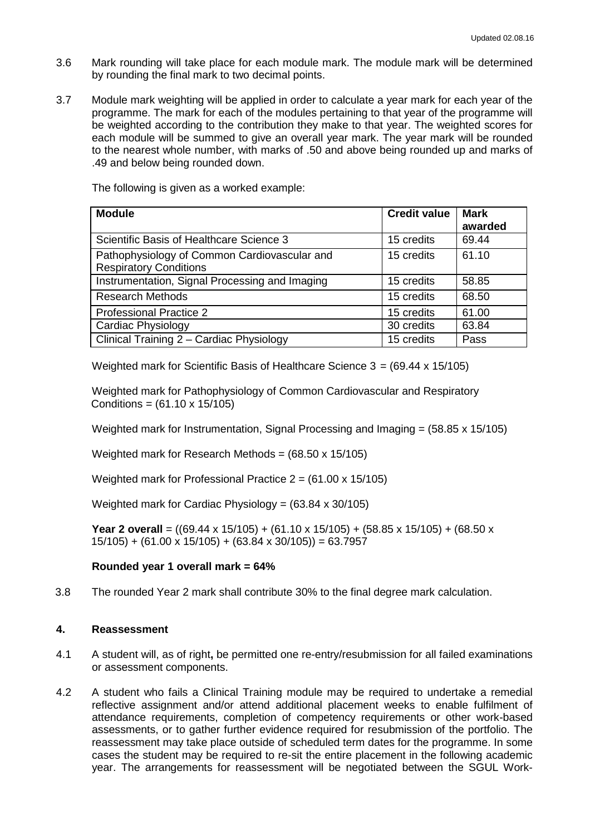- 3.6 Mark rounding will take place for each module mark. The module mark will be determined by rounding the final mark to two decimal points.
- 3.7 Module mark weighting will be applied in order to calculate a year mark for each year of the programme. The mark for each of the modules pertaining to that year of the programme will be weighted according to the contribution they make to that year. The weighted scores for each module will be summed to give an overall year mark. The year mark will be rounded to the nearest whole number, with marks of .50 and above being rounded up and marks of .49 and below being rounded down.

The following is given as a worked example:

| <b>Module</b>                                  | <b>Credit value</b> | <b>Mark</b> |
|------------------------------------------------|---------------------|-------------|
|                                                |                     | awarded     |
| Scientific Basis of Healthcare Science 3       | 15 credits          | 69.44       |
| Pathophysiology of Common Cardiovascular and   | 15 credits          | 61.10       |
| <b>Respiratory Conditions</b>                  |                     |             |
| Instrumentation, Signal Processing and Imaging | 15 credits          | 58.85       |
| <b>Research Methods</b>                        | 15 credits          | 68.50       |
| <b>Professional Practice 2</b>                 | 15 credits          | 61.00       |
| Cardiac Physiology                             | 30 credits          | 63.84       |
| Clinical Training 2 - Cardiac Physiology       | 15 credits          | Pass        |

Weighted mark for Scientific Basis of Healthcare Science 3 = (69.44 x 15/105)

Weighted mark for Pathophysiology of Common Cardiovascular and Respiratory Conditions = (61.10 x 15/105)

Weighted mark for Instrumentation, Signal Processing and Imaging  $= (58.85 \times 15/105)$ 

Weighted mark for Research Methods =  $(68.50 \times 15/105)$ 

Weighted mark for Professional Practice  $2 = (61.00 \times 15/105)$ 

Weighted mark for Cardiac Physiology =  $(63.84 \times 30/105)$ 

**Year 2 overall** = ((69.44 x 15/105) + (61.10 x 15/105) + (58.85 x 15/105) + (68.50 x  $15/105$ ) + (61.00 x 15/105) + (63.84 x 30/105)) = 63.7957

## **Rounded year 1 overall mark = 64%**

3.8 The rounded Year 2 mark shall contribute 30% to the final degree mark calculation.

## **4. Reassessment**

- 4.1 A student will, as of right**,** be permitted one re-entry/resubmission for all failed examinations or assessment components.
- 4.2 A student who fails a Clinical Training module may be required to undertake a remedial reflective assignment and/or attend additional placement weeks to enable fulfilment of attendance requirements, completion of competency requirements or other work-based assessments, or to gather further evidence required for resubmission of the portfolio. The reassessment may take place outside of scheduled term dates for the programme. In some cases the student may be required to re-sit the entire placement in the following academic year. The arrangements for reassessment will be negotiated between the SGUL Work-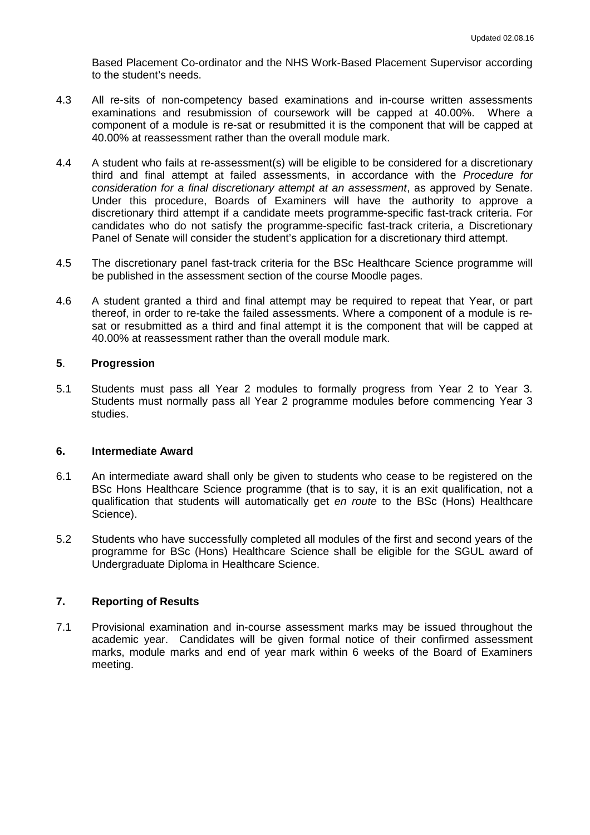Based Placement Co-ordinator and the NHS Work-Based Placement Supervisor according to the student's needs.

- 4.3 All re-sits of non-competency based examinations and in-course written assessments examinations and resubmission of coursework will be capped at 40.00%. Where a component of a module is re-sat or resubmitted it is the component that will be capped at 40.00% at reassessment rather than the overall module mark.
- 4.4 A student who fails at re-assessment(s) will be eligible to be considered for a discretionary third and final attempt at failed assessments, in accordance with the *Procedure for consideration for a final discretionary attempt at an assessment*, as approved by Senate. Under this procedure, Boards of Examiners will have the authority to approve a discretionary third attempt if a candidate meets programme-specific fast-track criteria. For candidates who do not satisfy the programme-specific fast-track criteria, a Discretionary Panel of Senate will consider the student's application for a discretionary third attempt.
- 4.5 The discretionary panel fast-track criteria for the BSc Healthcare Science programme will be published in the assessment section of the course Moodle pages.
- 4.6 A student granted a third and final attempt may be required to repeat that Year, or part thereof, in order to re-take the failed assessments. Where a component of a module is resat or resubmitted as a third and final attempt it is the component that will be capped at 40.00% at reassessment rather than the overall module mark.

# **5**. **Progression**

5.1 Students must pass all Year 2 modules to formally progress from Year 2 to Year 3. Students must normally pass all Year 2 programme modules before commencing Year 3 studies.

# **6. Intermediate Award**

- 6.1 An intermediate award shall only be given to students who cease to be registered on the BSc Hons Healthcare Science programme (that is to say, it is an exit qualification, not a qualification that students will automatically get *en route* to the BSc (Hons) Healthcare Science).
- 5.2 Students who have successfully completed all modules of the first and second years of the programme for BSc (Hons) Healthcare Science shall be eligible for the SGUL award of Undergraduate Diploma in Healthcare Science.

# **7. Reporting of Results**

7.1 Provisional examination and in-course assessment marks may be issued throughout the academic year. Candidates will be given formal notice of their confirmed assessment marks, module marks and end of year mark within 6 weeks of the Board of Examiners meeting.